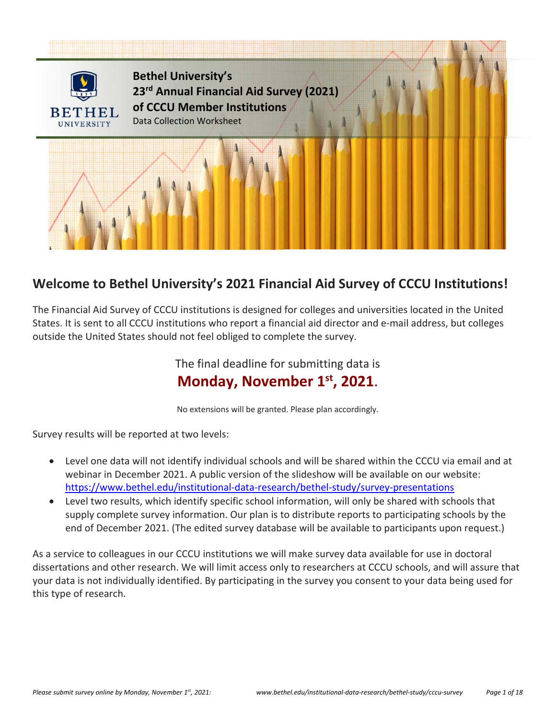

# **Welcome to Bethel University's 2021 Financial Aid Survey of CCCU Institutions!**

The Financial Aid Survey of CCCU institutions is designed for colleges and universities located in the United States. It is sent to all CCCU institutions who report a financial aid director and e‐mail address, but colleges outside the United States should not feel obliged to complete the survey.

> The final deadline for submitting data is **Monday, November 1st, 2021**.

No extensions will be granted. Please plan accordingly.

Survey results will be reported at two levels:

- Level one data will not identify individual schools and will be shared within the CCCU via email and at webinar in December 2021. A public version of the slideshow will be available on our website: https://www.bethel.edu/institutional‐data‐research/bethel‐study/survey‐presentations
- Level two results, which identify specific school information, will only be shared with schools that supply complete survey information. Our plan is to distribute reports to participating schools by the end of December 2021. (The edited survey database will be available to participants upon request.)

As a service to colleagues in our CCCU institutions we will make survey data available for use in doctoral dissertations and other research. We will limit access only to researchers at CCCU schools, and will assure that your data is not individually identified. By participating in the survey you consent to your data being used for this type of research.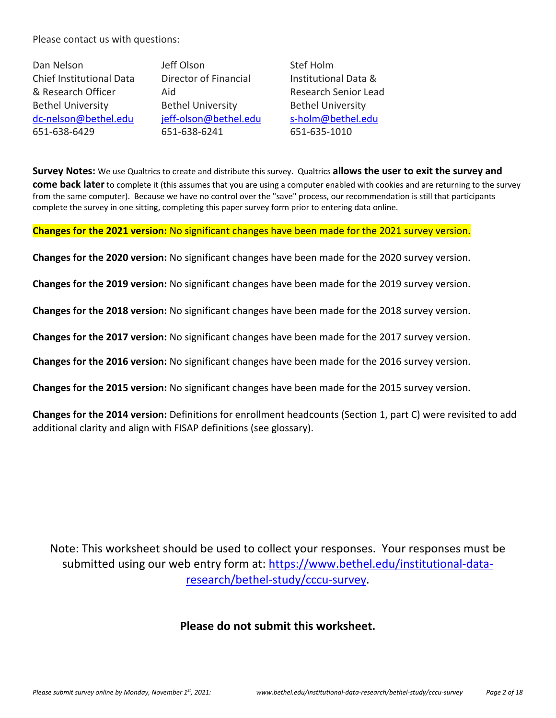Please contact us with questions:

Dan Nelson Chief Institutional Data & Research Officer Bethel University dc‐nelson@bethel.edu 651‐638‐6429

Jeff Olson Director of Financial Aid Bethel University jeff-olson@bethel.edu 651‐638‐6241

Stef Holm Institutional Data & Research Senior Lead Bethel University s‐holm@bethel.edu 651‐635‐1010

**Survey Notes:** We use Qualtrics to create and distribute this survey. Qualtrics **allows the user to exit the survey and come back later** to complete it (this assumes that you are using a computer enabled with cookies and are returning to the survey from the same computer). Because we have no control over the "save" process, our recommendation is still that participants complete the survey in one sitting, completing this paper survey form prior to entering data online.

**Changes for the 2021 version:** No significant changes have been made for the 2021 survey version.

**Changes for the 2020 version:** No significant changes have been made for the 2020 survey version.

**Changes for the 2019 version:** No significant changes have been made for the 2019 survey version.

**Changes for the 2018 version:** No significant changes have been made for the 2018 survey version.

**Changes for the 2017 version:** No significant changes have been made for the 2017 survey version.

**Changes for the 2016 version:** No significant changes have been made for the 2016 survey version.

**Changes for the 2015 version:** No significant changes have been made for the 2015 survey version.

**Changes for the 2014 version:** Definitions for enrollment headcounts (Section 1, part C) were revisited to add additional clarity and align with FISAP definitions (see glossary).

Note: This worksheet should be used to collect your responses. Your responses must be submitted using our web entry form at: https://www.bethel.edu/institutional-dataresearch/bethel‐study/cccu‐survey.

# **Please do not submit this worksheet.**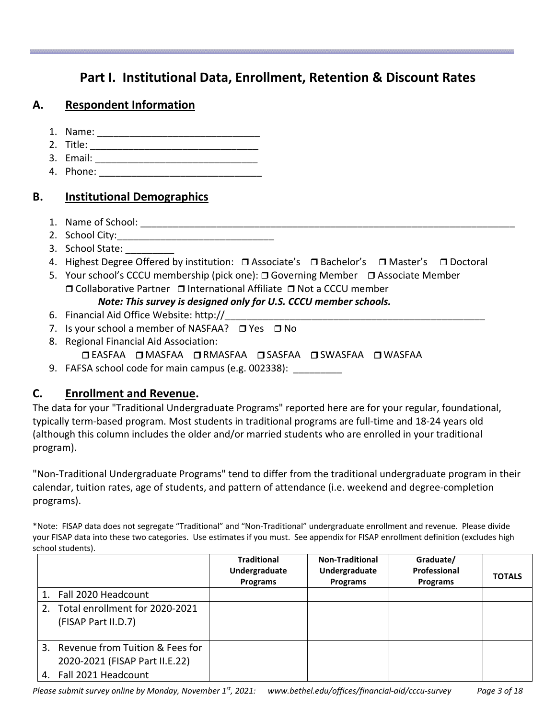# **Part I. Institutional Data, Enrollment, Retention & Discount Rates**

# **A. Respondent Information**

- 1. Name: \_\_\_\_\_\_\_\_\_\_\_\_\_\_\_\_\_\_\_\_\_\_\_\_\_\_\_\_\_\_
- 2. Title:
- 3. Email: \_\_\_\_\_\_\_\_\_\_\_\_\_\_\_\_\_\_\_\_\_\_\_\_\_\_\_\_\_\_
- 4. Phone: \_\_\_\_\_\_\_\_\_\_\_\_\_\_\_\_\_\_\_\_\_\_\_\_\_\_\_\_\_\_

# **B. Institutional Demographics**

- 1. Name of School: \_\_\_\_\_\_\_\_\_\_\_\_\_\_\_\_\_\_\_\_\_\_\_\_\_\_\_\_\_\_\_\_\_\_\_\_\_\_\_\_\_\_\_\_\_\_\_\_\_\_\_\_\_\_\_\_\_\_\_\_\_\_\_\_\_\_\_\_\_
- 2. School City:
- 3. School State: \_\_\_\_\_\_\_\_\_
- 4. Highest Degree Offered by institution:  $\Box$  Associate's  $\Box$  Bachelor's  $\Box$  Master's  $\Box$  Doctoral
- 5. Your school's CCCU membership (pick one): Governing Member Associate Member  $\Box$  Collaborative Partner  $\Box$  International Affiliate  $\Box$  Not a CCCU member *Note: This survey is designed only for U.S. CCCU member schools.*
- 6. Financial Aid Office Website: http://
- 7. Is your school a member of NASFAA?  $\Box$  Yes  $\Box$  No
- 8. Regional Financial Aid Association:
	- EASFAA MASFAA RMASFAA SASFAA SWASFAA WASFAA
- 9. FAFSA school code for main campus (e.g. 002338): \_\_\_\_\_\_\_\_\_\_

# **C. Enrollment and Revenue.**

The data for your "Traditional Undergraduate Programs" reported here are for your regular, foundational, typically term‐based program. Most students in traditional programs are full‐time and 18‐24 years old (although this column includes the older and/or married students who are enrolled in your traditional program).

"Non‐Traditional Undergraduate Programs" tend to differ from the traditional undergraduate program in their calendar, tuition rates, age of students, and pattern of attendance (i.e. weekend and degree‐completion programs).

\*Note: FISAP data does not segregate "Traditional" and "Non‐Traditional" undergraduate enrollment and revenue. Please divide your FISAP data into these two categories. Use estimates if you must. See appendix for FISAP enrollment definition (excludes high school students).

|                                                                      | <b>Traditional</b>               | <b>Non-Traditional</b>           | Graduate/                       |               |
|----------------------------------------------------------------------|----------------------------------|----------------------------------|---------------------------------|---------------|
|                                                                      | Undergraduate<br><b>Programs</b> | Undergraduate<br><b>Programs</b> | Professional<br><b>Programs</b> | <b>TOTALS</b> |
| 1. Fall 2020 Headcount                                               |                                  |                                  |                                 |               |
| 2. Total enrollment for 2020-2021<br>(FISAP Part II.D.7)             |                                  |                                  |                                 |               |
| 3. Revenue from Tuition & Fees for<br>2020-2021 (FISAP Part II.E.22) |                                  |                                  |                                 |               |
| 4. Fall 2021 Headcount                                               |                                  |                                  |                                 |               |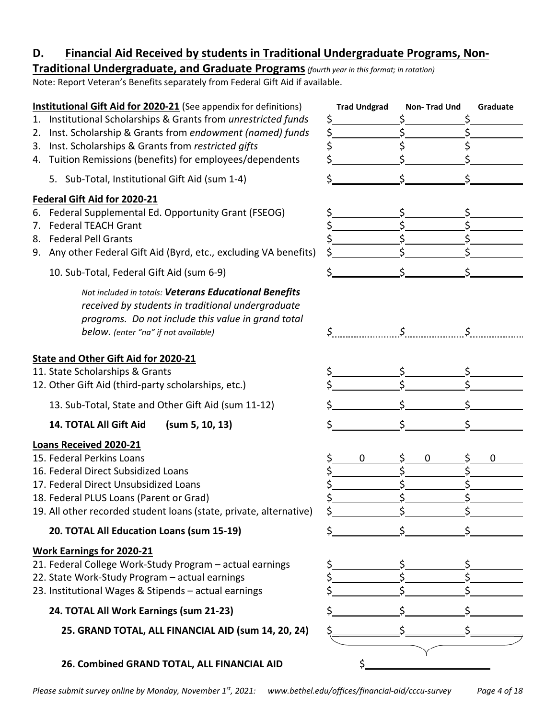# **D. Financial Aid Received by students in Traditional Undergraduate Programs, Non‐**

# **Traditional Undergraduate, and Graduate Programs***(fourth year in this format; in rotation)*

Note: Report Veteran's Benefits separately from Federal Gift Aid if available.

| <b>Institutional Gift Aid for 2020-21</b> (See appendix for definitions)                                   | <b>Trad Undgrad</b> | <b>Non-Trad Und</b> | Graduate |
|------------------------------------------------------------------------------------------------------------|---------------------|---------------------|----------|
| Institutional Scholarships & Grants from unrestricted funds<br>1.                                          | \$                  |                     |          |
| Inst. Scholarship & Grants from endowment (named) funds<br>2.                                              | \$                  | Ś<br>Ś              |          |
| Inst. Scholarships & Grants from restricted gifts<br>3.                                                    | \$                  |                     |          |
| Tuition Remissions (benefits) for employees/dependents<br>4.                                               |                     |                     |          |
| 5. Sub-Total, Institutional Gift Aid (sum 1-4)                                                             |                     | \$                  |          |
| Federal Gift Aid for 2020-21                                                                               |                     |                     |          |
| 6. Federal Supplemental Ed. Opportunity Grant (FSEOG)                                                      |                     |                     |          |
| <b>Federal TEACH Grant</b><br>7.                                                                           |                     | Ś                   |          |
| <b>Federal Pell Grants</b><br>8.                                                                           |                     |                     |          |
| 9. Any other Federal Gift Aid (Byrd, etc., excluding VA benefits)                                          |                     | ς                   |          |
| 10. Sub-Total, Federal Gift Aid (sum 6-9)                                                                  |                     | Ś                   |          |
| Not included in totals: Veterans Educational Benefits<br>received by students in traditional undergraduate |                     |                     |          |
| programs. Do not include this value in grand total                                                         |                     |                     |          |
| below. (enter "na" if not available)                                                                       | \$                  |                     |          |
|                                                                                                            |                     |                     |          |
| State and Other Gift Aid for 2020-21                                                                       |                     |                     |          |
| 11. State Scholarships & Grants                                                                            |                     | ς                   |          |
| 12. Other Gift Aid (third-party scholarships, etc.)                                                        |                     |                     |          |
| 13. Sub-Total, State and Other Gift Aid (sum 11-12)                                                        |                     |                     |          |
| 14. TOTAL All Gift Aid<br>(sum 5, 10, 13)                                                                  |                     |                     |          |
| <b>Loans Received 2020-21</b>                                                                              |                     |                     |          |
| 15. Federal Perkins Loans                                                                                  | $\mathbf 0$         | \$<br>0             | 0        |
| 16. Federal Direct Subsidized Loans                                                                        |                     | Ś<br>\$             |          |
| 17. Federal Direct Unsubsidized Loans                                                                      |                     | \$                  |          |
| 18. Federal PLUS Loans (Parent or Grad)                                                                    |                     |                     |          |
| 19. All other recorded student loans (state, private, alternative)                                         |                     |                     |          |
| 20. TOTAL All Education Loans (sum 15-19)                                                                  |                     |                     |          |
| <b>Work Earnings for 2020-21</b>                                                                           |                     |                     |          |
| 21. Federal College Work-Study Program - actual earnings                                                   |                     |                     |          |
| 22. State Work-Study Program - actual earnings                                                             |                     |                     |          |
| 23. Institutional Wages & Stipends - actual earnings                                                       |                     |                     |          |
| 24. TOTAL All Work Earnings (sum 21-23)                                                                    |                     |                     |          |
| 25. GRAND TOTAL, ALL FINANCIAL AID (sum 14, 20, 24)                                                        |                     |                     |          |
|                                                                                                            |                     |                     |          |
| 26. Combined GRAND TOTAL, ALL FINANCIAL AID                                                                |                     |                     |          |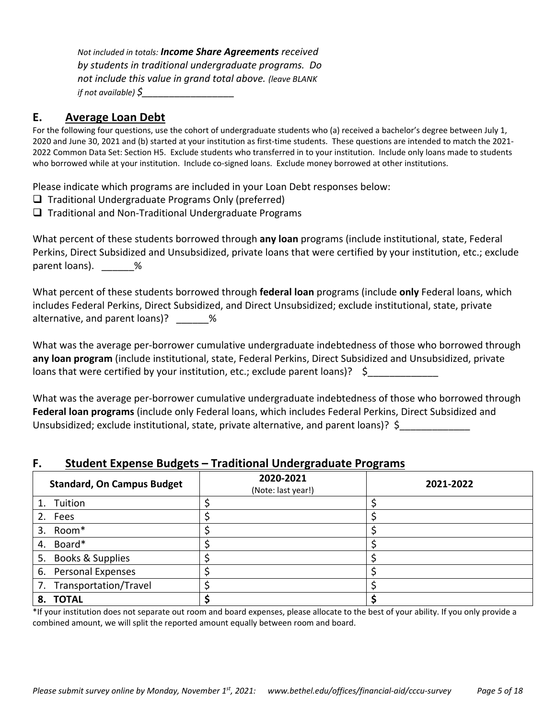*Not included in totals: Income Share Agreements received by students in traditional undergraduate programs. Do not include this value in grand total above. (leave BLANK if not available) \$\_\_\_\_\_\_\_\_\_\_\_\_\_\_\_\_\_* 

### **E. Average Loan Debt**

For the following four questions, use the cohort of undergraduate students who (a) received a bachelor's degree between July 1, 2020 and June 30, 2021 and (b) started at your institution as first-time students. These questions are intended to match the 2021-2022 Common Data Set: Section H5. Exclude students who transferred in to your institution. Include only loans made to students who borrowed while at your institution. Include co-signed loans. Exclude money borrowed at other institutions.

Please indicate which programs are included in your Loan Debt responses below:

- $\Box$  Traditional Undergraduate Programs Only (preferred)
- $\Box$  Traditional and Non-Traditional Undergraduate Programs

What percent of these students borrowed through **any loan** programs (include institutional, state, Federal Perkins, Direct Subsidized and Unsubsidized, private loans that were certified by your institution, etc.; exclude parent loans). \_\_\_\_\_\_\_%

What percent of these students borrowed through **federal loan** programs (include **only** Federal loans, which includes Federal Perkins, Direct Subsidized, and Direct Unsubsidized; exclude institutional, state, private alternative, and parent loans)?  $\frac{1}{2}$  %

What was the average per‐borrower cumulative undergraduate indebtedness of those who borrowed through **any loan program** (include institutional, state, Federal Perkins, Direct Subsidized and Unsubsidized, private loans that were certified by your institution, etc.; exclude parent loans)? \$

What was the average per-borrower cumulative undergraduate indebtedness of those who borrowed through **Federal loan programs** (include only Federal loans, which includes Federal Perkins, Direct Subsidized and Unsubsidized; exclude institutional, state, private alternative, and parent loans)? \$

### **F. Student Expense Budgets – Traditional Undergraduate Programs**

| <b>Standard, On Campus Budget</b> | 2020-2021<br>(Note: last year!) | 2021-2022 |
|-----------------------------------|---------------------------------|-----------|
| 1. Tuition                        |                                 |           |
| 2. Fees                           |                                 |           |
| Room*<br>3.                       |                                 |           |
| Board*<br>4.                      |                                 |           |
| Books & Supplies<br>5.            |                                 |           |
| 6. Personal Expenses              |                                 |           |
| 7. Transportation/Travel          |                                 |           |
| 8. TOTAL                          |                                 |           |

\*If your institution does not separate out room and board expenses, please allocate to the best of your ability. If you only provide a combined amount, we will split the reported amount equally between room and board.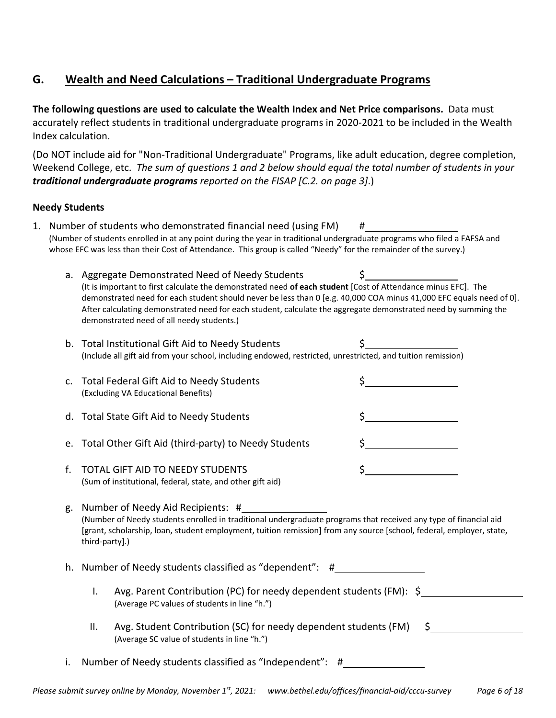# **G. Wealth and Need Calculations – Traditional Undergraduate Programs**

**The following questions are used to calculate the Wealth Index and Net Price comparisons.** Data must accurately reflect students in traditional undergraduate programs in 2020‐2021 to be included in the Wealth Index calculation.

(Do NOT include aid for "Non‐Traditional Undergraduate" Programs, like adult education, degree completion, Weekend College, etc. *The sum of questions 1 and 2 below should equal the total number of students in your traditional undergraduate programs reported on the FISAP [C.2. on page 3]*.)

### **Needy Students**

- 1. Number of students who demonstrated financial need (using FM) # (Number of students enrolled in at any point during the year in traditional undergraduate programs who filed a FAFSA and whose EFC was less than their Cost of Attendance. This group is called "Needy" for the remainder of the survey.)
	- a. Aggregate Demonstrated Need of Needy Students  $\zeta$ (It is important to first calculate the demonstrated need **of each student** [Cost of Attendance minus EFC]. The demonstrated need for each student should never be less than 0 [e.g. 40,000 COA minus 41,000 EFC equals need of 0]. After calculating demonstrated need for each student, calculate the aggregate demonstrated need by summing the demonstrated need of all needy students.)
	- b. Total Institutional Gift Aid to Needy Students (Include all gift aid from your school, including endowed, restricted, unrestricted, and tuition remission)

| c. Total Federal Gift Aid to Needy Students<br>(Excluding VA Educational Benefits) |  |
|------------------------------------------------------------------------------------|--|
| d. Total State Gift Aid to Needy Students                                          |  |
| e. Total Other Gift Aid (third-party) to Needy Students                            |  |
| <b>f</b> TOTAL GIET AID TO NEEDV STUDENTS                                          |  |

f. TOTAL GIFT AID TO NEEDY STUDENTS \$ (Sum of institutional, federal, state, and other gift aid)

g. Number of Needy Aid Recipients: # (Number of Needy students enrolled in traditional undergraduate programs that received any type of financial aid [grant, scholarship, loan, student employment, tuition remission] from any source [school, federal, employer, state, third‐party].)

h. Number of Needy students classified as "dependent": #

- I. Avg. Parent Contribution (PC) for needy dependent students (FM):  $\zeta$ (Average PC values of students in line "h.")
- II. Avg. Student Contribution (SC) for needy dependent students (FM) \$ (Average SC value of students in line "h.")
- i. Number of Needy students classified as "Independent": #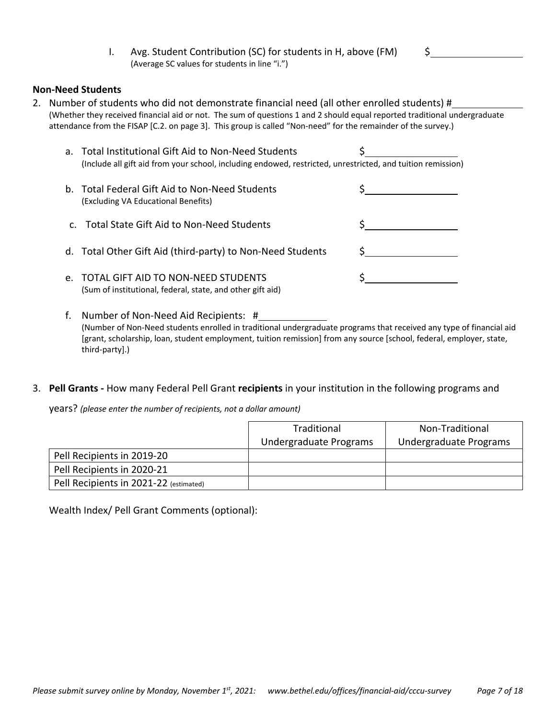I. Avg. Student Contribution (SC) for students in H, above (FM)  $\frac{\zeta}{2}$ (Average SC values for students in line "i.")

### **Non‐Need Students**

2. Number of students who did not demonstrate financial need (all other enrolled students) # (Whether they received financial aid or not. The sum of questions 1 and 2 should equal reported traditional undergraduate attendance from the FISAP [C.2. on page 3]. This group is called "Non-need" for the remainder of the survey.)

| a. Total Institutional Gift Aid to Non-Need Students<br>(Include all gift aid from your school, including endowed, restricted, unrestricted, and tuition remission) |  |
|---------------------------------------------------------------------------------------------------------------------------------------------------------------------|--|
| b. Total Federal Gift Aid to Non-Need Students<br>(Excluding VA Educational Benefits)                                                                               |  |
| c. Total State Gift Aid to Non-Need Students                                                                                                                        |  |
| d. Total Other Gift Aid (third-party) to Non-Need Students                                                                                                          |  |
| e. TOTAL GIFT AID TO NON-NEED STUDENTS<br>(Sum of institutional, federal, state, and other gift aid)                                                                |  |

- f. Number of Non‐Need Aid Recipients: # (Number of Non‐Need students enrolled in traditional undergraduate programs that received any type of financial aid [grant, scholarship, loan, student employment, tuition remission] from any source [school, federal, employer, state, third‐party].)
- 3. **Pell Grants ‐** How many Federal Pell Grant **recipients** in your institution in the following programs and

years? *(please enter the number of recipients, not a dollar amount)*

|                                        | Traditional            | Non-Traditional        |
|----------------------------------------|------------------------|------------------------|
|                                        | Undergraduate Programs | Undergraduate Programs |
| Pell Recipients in 2019-20             |                        |                        |
| Pell Recipients in 2020-21             |                        |                        |
| Pell Recipients in 2021-22 (estimated) |                        |                        |

Wealth Index/ Pell Grant Comments (optional):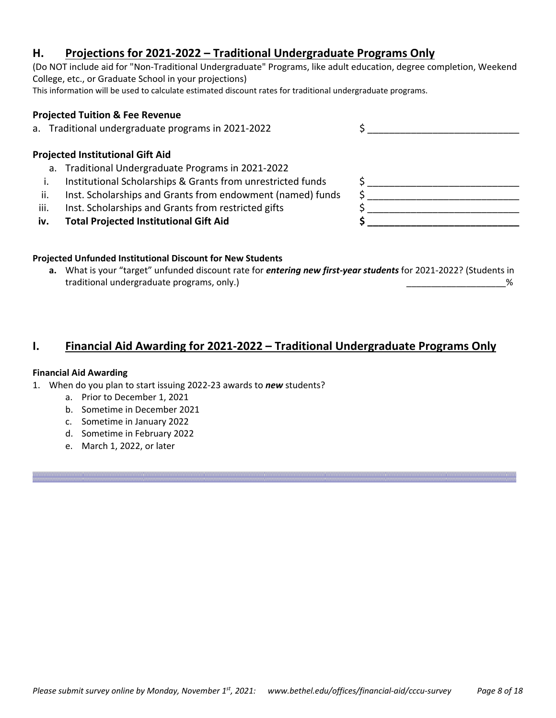## **H. Projections for 2021‐2022 – Traditional Undergraduate Programs Only**

(Do NOT include aid for "Non‐Traditional Undergraduate" Programs, like adult education, degree completion, Weekend College, etc., or Graduate School in your projections) This information will be used to calculate estimated discount rates for traditional undergraduate programs.

#### **Projected Tuition & Fee Revenue**

a. Traditional undergraduate programs in 2021-2022  $\zeta$ 

#### **Projected Institutional Gift Aid**

- a. Traditional Undergraduate Programs in 2021‐2022
- i. Institutional Scholarships & Grants from unrestricted funds
- ii. Inst. Scholarships and Grants from endowment (named) funds
- iii. Inst. Scholarships and Grants from restricted gifts
- iv. Total Projected Institutional Gift Aid

#### **Projected Unfunded Institutional Discount for New Students**

**a.** What is your "target" unfunded discount rate for *entering new first‐year students* for 2021‐2022? (Students in traditional undergraduate programs, only.) \_\_\_\_\_\_\_\_\_\_\_\_\_\_\_\_\_\_\_\_%

### **I. Financial Aid Awarding for 2021‐2022 – Traditional Undergraduate Programs Only**

#### **Financial Aid Awarding**

- 1. When do you plan to start issuing 2022‐23 awards to *new* students?
	- a. Prior to December 1, 2021
	- b. Sometime in December 2021
	- c. Sometime in January 2022
	- d. Sometime in February 2022
	- e. March 1, 2022, or later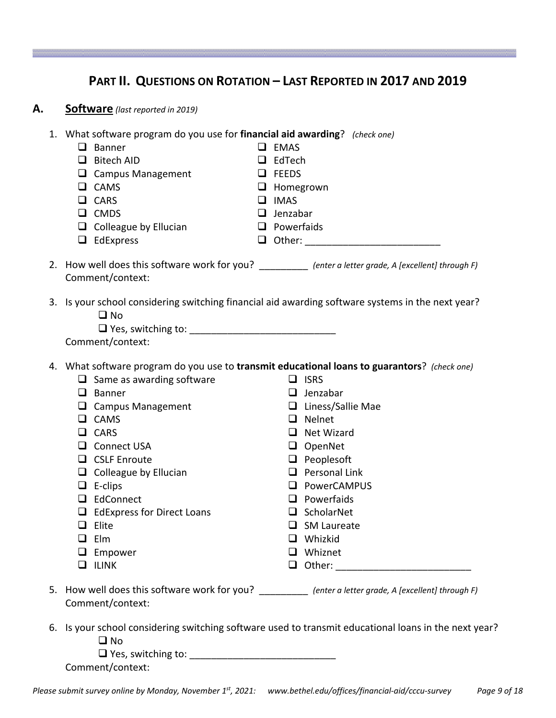# **PART II. QUESTIONS ON ROTATION – LAST REPORTED IN 2017 AND 2019**

| Α. | <b>Software</b> (last reported in 2019)                                                                                                                                                                                                                                                                                                                                                                                                                                                                                                                                                                                                                                                                                |
|----|------------------------------------------------------------------------------------------------------------------------------------------------------------------------------------------------------------------------------------------------------------------------------------------------------------------------------------------------------------------------------------------------------------------------------------------------------------------------------------------------------------------------------------------------------------------------------------------------------------------------------------------------------------------------------------------------------------------------|
|    | 1. What software program do you use for financial aid awarding? (check one)<br>$\Box$ Banner<br>$\Box$ EMAS<br>$\Box$ Bitech AID<br>$\Box$ EdTech<br>$\Box$ Campus Management<br>$\Box$ FEEDS<br>$\Box$ CAMS<br>$\Box$ Homegrown<br>$\Box$ IMAS<br>$\Box$ CARS<br>$\Box$ CMDS<br>$\Box$ Jenzabar<br>$\Box$ Colleague by Ellucian<br>$\Box$ Powerfaids<br>$\Box$ EdExpress                                                                                                                                                                                                                                                                                                                                              |
|    | 2. How well does this software work for you? __________ (enter a letter grade, A [excellent] through F)<br>Comment/context:                                                                                                                                                                                                                                                                                                                                                                                                                                                                                                                                                                                            |
|    | 3. Is your school considering switching financial aid awarding software systems in the next year?<br>$\square$ No<br>Comment/context:                                                                                                                                                                                                                                                                                                                                                                                                                                                                                                                                                                                  |
|    | 4. What software program do you use to transmit educational loans to guarantors? (check one)<br>$\Box$ Same as awarding software<br>$\Box$ ISRS<br>$\Box$ Jenzabar<br>$\Box$ Banner<br>$\Box$ Liness/Sallie Mae<br>$\Box$ Campus Management<br>$\Box$ CAMS<br>$\Box$ Nelnet<br>$\Box$ CARS<br>$\Box$ Net Wizard<br>□ Connect USA<br>$\Box$ OpenNet<br>$\Box$ Peoplesoft<br>$\Box$ CSLF Enroute<br>$\Box$ Personal Link<br>$\Box$ Colleague by Ellucian<br>$\Box$ E-clips<br>D PowerCAMPUS<br>$\Box$ EdConnect<br>$\Box$ Powerfaids<br>$\Box$ EdExpress for Direct Loans<br>$\Box$ ScholarNet<br>$\Box$ Elite<br>$\Box$ SM Laureate<br>$\Box$ Elm<br>$\Box$ Whizkid<br>$\Box$ Empower<br>$\Box$ Whiznet<br>$\Box$ ILINK |
|    | 5. How well does this software work for you? __________ (enter a letter grade, A [excellent] through F)<br>Comment/context:                                                                                                                                                                                                                                                                                                                                                                                                                                                                                                                                                                                            |
|    |                                                                                                                                                                                                                                                                                                                                                                                                                                                                                                                                                                                                                                                                                                                        |

6. Is your school considering switching software used to transmit educational loans in the next year? **O** No

| $\Box$ Yes, switching to: |  |
|---------------------------|--|
|                           |  |

Comment/context: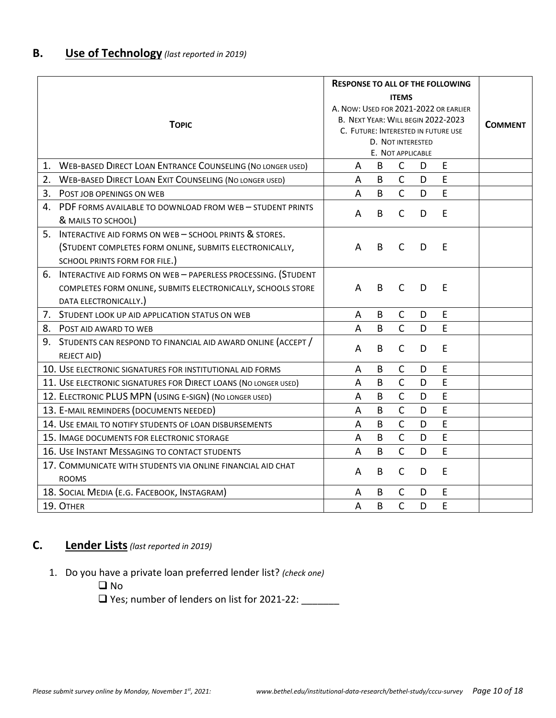|    |                                                                                |                                       |                |                          |   | <b>RESPONSE TO ALL OF THE FOLLOWING</b> |  |
|----|--------------------------------------------------------------------------------|---------------------------------------|----------------|--------------------------|---|-----------------------------------------|--|
|    |                                                                                |                                       |                | <b>ITEMS</b>             |   |                                         |  |
|    |                                                                                | A. NOW: USED FOR 2021-2022 OR EARLIER |                |                          |   |                                         |  |
|    | <b>TOPIC</b>                                                                   | B. NEXT YEAR: WILL BEGIN 2022-2023    | <b>COMMENT</b> |                          |   |                                         |  |
|    |                                                                                |                                       |                |                          |   | C. FUTURE: INTERESTED IN FUTURE USE     |  |
|    |                                                                                |                                       |                | <b>D. NOT INTERESTED</b> |   |                                         |  |
|    |                                                                                |                                       |                | E. NOT APPLICABLE        |   |                                         |  |
|    | 1. WEB-BASED DIRECT LOAN ENTRANCE COUNSELING (NO LONGER USED)                  | A                                     | В              | $\mathsf{C}$             | D | E                                       |  |
| 2. | <b>WEB-BASED DIRECT LOAN EXIT COUNSELING (NO LONGER USED)</b>                  | A                                     | B              | $\mathsf{C}$             | D | E                                       |  |
| 3. | POST JOB OPENINGS ON WEB                                                       | A                                     | B              | $\overline{C}$           | D | E                                       |  |
| 4. | PDF FORMS AVAILABLE TO DOWNLOAD FROM WEB - STUDENT PRINTS                      | A                                     | B              | $\mathsf{C}$             | D | E                                       |  |
|    | & MAILS TO SCHOOL)                                                             |                                       |                |                          |   |                                         |  |
| 5. | INTERACTIVE AID FORMS ON WEB - SCHOOL PRINTS & STORES.                         |                                       |                |                          |   |                                         |  |
|    | (STUDENT COMPLETES FORM ONLINE, SUBMITS ELECTRONICALLY,                        | A                                     | B              | $\mathsf{C}$             | D | E                                       |  |
|    | SCHOOL PRINTS FORM FOR FILE.)                                                  |                                       |                |                          |   |                                         |  |
| 6. | INTERACTIVE AID FORMS ON WEB - PAPERLESS PROCESSING. (STUDENT                  |                                       |                |                          |   |                                         |  |
|    | COMPLETES FORM ONLINE, SUBMITS ELECTRONICALLY, SCHOOLS STORE                   | A                                     | B              | $\mathsf{C}$             | D | E                                       |  |
|    | DATA ELECTRONICALLY.)                                                          |                                       |                |                          |   |                                         |  |
|    | 7. STUDENT LOOK UP AID APPLICATION STATUS ON WEB                               | A                                     | В              | $\mathsf{C}$             | D | E                                       |  |
|    | 8. POST AID AWARD TO WEB                                                       | A                                     | B              | $\overline{C}$           | D | E                                       |  |
|    | 9. STUDENTS CAN RESPOND TO FINANCIAL AID AWARD ONLINE (ACCEPT /<br>REJECT AID) | A                                     | B              | $\mathsf{C}$             | D | E                                       |  |
|    | 10. USE ELECTRONIC SIGNATURES FOR INSTITUTIONAL AID FORMS                      | A                                     | B              | $\mathsf C$              | D | E                                       |  |
|    | 11. USE ELECTRONIC SIGNATURES FOR DIRECT LOANS (NO LONGER USED)                | A                                     | B              | $\mathsf{C}$             | D | E                                       |  |
|    | 12. ELECTRONIC PLUS MPN (USING E-SIGN) (NO LONGER USED)                        | A                                     | B              | $\mathsf{C}$             | D | E                                       |  |
|    | 13. E-MAIL REMINDERS (DOCUMENTS NEEDED)                                        | A                                     | B              | $\overline{\mathsf{C}}$  | D | E                                       |  |
|    | 14. USE EMAIL TO NOTIFY STUDENTS OF LOAN DISBURSEMENTS                         | $\overline{A}$                        | B              | $\overline{C}$           | D | E                                       |  |
|    | 15. IMAGE DOCUMENTS FOR ELECTRONIC STORAGE                                     | A                                     | B              | $\overline{C}$           | D | E                                       |  |
|    | 16. USE INSTANT MESSAGING TO CONTACT STUDENTS                                  | A                                     | B              | $\overline{C}$           | D | E                                       |  |
|    | 17. COMMUNICATE WITH STUDENTS VIA ONLINE FINANCIAL AID CHAT                    | A                                     | B              | $\mathsf{C}$             | D | E                                       |  |
|    | <b>ROOMS</b>                                                                   |                                       |                |                          |   |                                         |  |
|    | 18. SOCIAL MEDIA (E.G. FACEBOOK, INSTAGRAM)                                    | A                                     | В              | $\mathsf C$              | D | $\mathsf E$                             |  |
|    | 19. OTHER                                                                      | A                                     | B              | $\overline{C}$           | D | E                                       |  |

# **C. Lender Lists***(last reported in 2019)*

- 1. Do you have a private loan preferred lender list? *(check one)*
	- □ No

□ Yes; number of lenders on list for 2021-22: \_\_\_\_\_\_\_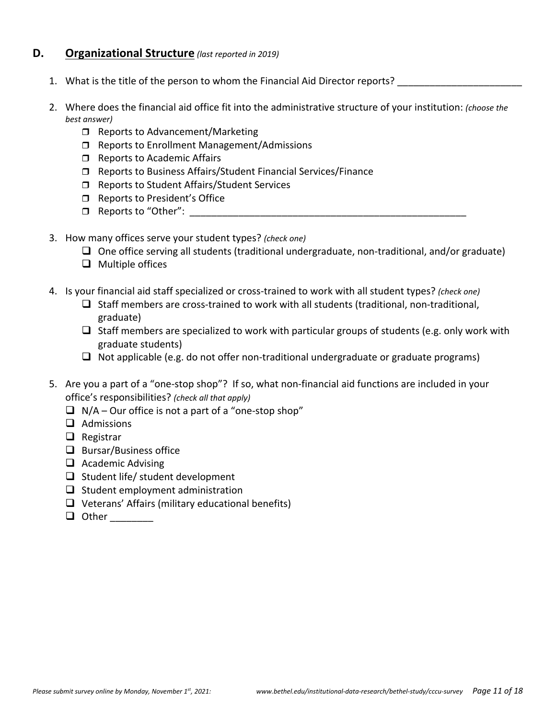### **D. Organizational Structure** *(last reported in 2019)*

- 1. What is the title of the person to whom the Financial Aid Director reports?
- 2. Where does the financial aid office fit into the administrative structure of your institution: *(choose the best answer)*
	- $\Box$  Reports to Advancement/Marketing
	- □ Reports to Enrollment Management/Admissions
	- $\Box$  Reports to Academic Affairs
	- □ Reports to Business Affairs/Student Financial Services/Finance
	- □ Reports to Student Affairs/Student Services
	- □ Reports to President's Office
	- $\Box$  Reports to "Other":
- 3. How many offices serve your student types? *(check one)*
	- $\Box$  One office serving all students (traditional undergraduate, non-traditional, and/or graduate)
	- $\Box$  Multiple offices
- 4. Is your financial aid staff specialized or cross‐trained to work with all student types? *(check one)*
	- □ Staff members are cross-trained to work with all students (traditional, non-traditional, graduate)
	- $\Box$  Staff members are specialized to work with particular groups of students (e.g. only work with graduate students)
	- $\Box$  Not applicable (e.g. do not offer non-traditional undergraduate or graduate programs)
- 5. Are you a part of a "one-stop shop"? If so, what non-financial aid functions are included in your office's responsibilities? *(check all that apply)*
	- $\Box$  N/A Our office is not a part of a "one-stop shop"
	- $\Box$  Admissions
	- $\Box$  Registrar
	- $\Box$  Bursar/Business office
	- $\Box$  Academic Advising
	- $\Box$  Student life/ student development
	- $\Box$  Student employment administration
	- $\Box$  Veterans' Affairs (military educational benefits)
	- Other \_\_\_\_\_\_\_\_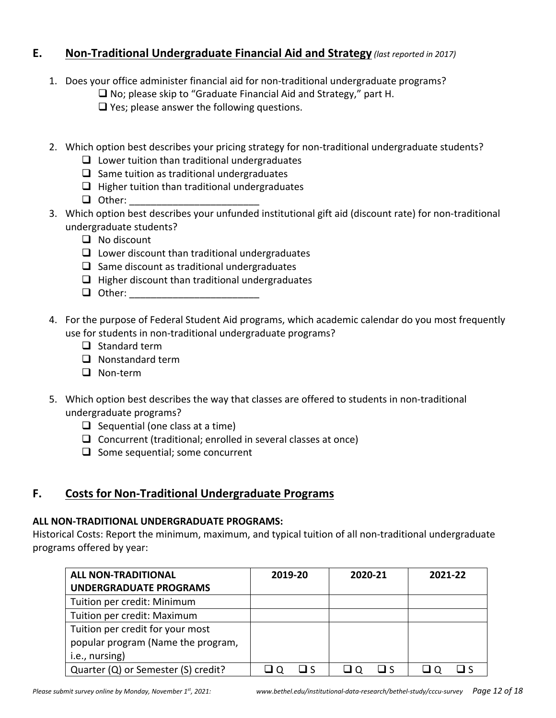# **E. Non‐Traditional Undergraduate Financial Aid and Strategy** *(last reported in 2017)*

- 1. Does your office administer financial aid for non-traditional undergraduate programs?
	- $\Box$  No; please skip to "Graduate Financial Aid and Strategy," part H.

 $\Box$  Yes; please answer the following questions.

- 2. Which option best describes your pricing strategy for non-traditional undergraduate students?
	- $\Box$  Lower tuition than traditional undergraduates
	- $\Box$  Same tuition as traditional undergraduates
	- $\Box$  Higher tuition than traditional undergraduates
	- $\Box$  Other:
- 3. Which option best describes your unfunded institutional gift aid (discount rate) for non‐traditional undergraduate students?
	- $\Box$  No discount
	- $\Box$  Lower discount than traditional undergraduates
	- $\Box$  Same discount as traditional undergraduates
	- $\Box$  Higher discount than traditional undergraduates
	- $\Box$  Other:
- 4. For the purpose of Federal Student Aid programs, which academic calendar do you most frequently use for students in non-traditional undergraduate programs?
	- $\Box$  Standard term
	- $\Box$  Nonstandard term
	- □ Non-term
- 5. Which option best describes the way that classes are offered to students in non-traditional undergraduate programs?
	- $\Box$  Sequential (one class at a time)
	- $\Box$  Concurrent (traditional; enrolled in several classes at once)
	- $\Box$  Some sequential; some concurrent

# **F. Costs for Non‐Traditional Undergraduate Programs**

### **ALL NON‐TRADITIONAL UNDERGRADUATE PROGRAMS:**

Historical Costs: Report the minimum, maximum, and typical tuition of all non‐traditional undergraduate programs offered by year:

| <b>ALL NON-TRADITIONAL</b>          | 2019-20 | 2020-21 | 2021-22 |
|-------------------------------------|---------|---------|---------|
| <b>UNDERGRADUATE PROGRAMS</b>       |         |         |         |
| Tuition per credit: Minimum         |         |         |         |
| Tuition per credit: Maximum         |         |         |         |
| Tuition per credit for your most    |         |         |         |
| popular program (Name the program,  |         |         |         |
| i.e., nursing)                      |         |         |         |
| Quarter (Q) or Semester (S) credit? |         |         |         |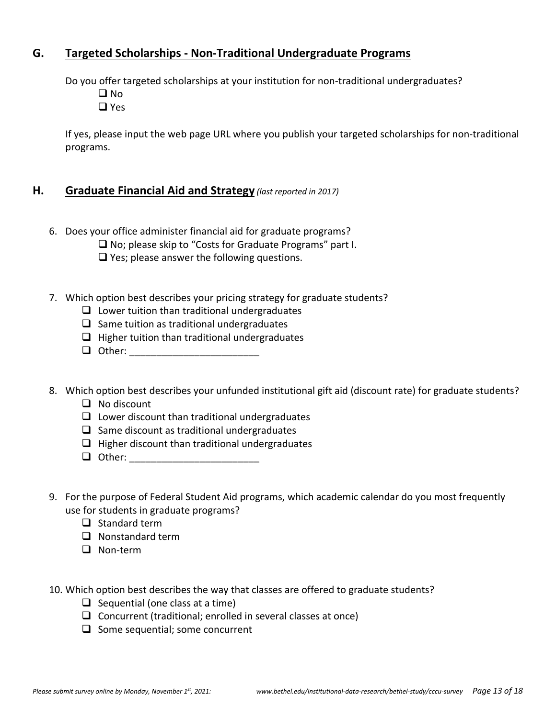# **G. Targeted Scholarships ‐ Non‐Traditional Undergraduate Programs**

Do you offer targeted scholarships at your institution for non‐traditional undergraduates?

- $\Box$  No
- □ Yes

If yes, please input the web page URL where you publish your targeted scholarships for non‐traditional programs.

### **H. Graduate Financial Aid and Strategy** *(last reported in 2017)*

- 6. Does your office administer financial aid for graduate programs?
	- □ No; please skip to "Costs for Graduate Programs" part I.
	- $\Box$  Yes; please answer the following questions.
- 7. Which option best describes your pricing strategy for graduate students?
	- $\Box$  Lower tuition than traditional undergraduates
	- $\Box$  Same tuition as traditional undergraduates
	- $\Box$  Higher tuition than traditional undergraduates
	- Other: \_\_\_\_\_\_\_\_\_\_\_\_\_\_\_\_\_\_\_\_\_\_\_\_
- 8. Which option best describes your unfunded institutional gift aid (discount rate) for graduate students?
	- $\Box$  No discount
	- $\Box$  Lower discount than traditional undergraduates
	- $\Box$  Same discount as traditional undergraduates
	- $\Box$  Higher discount than traditional undergraduates
	- Other: \_\_\_\_\_\_\_\_\_\_\_\_\_\_\_\_\_\_\_\_\_\_\_\_
- 9. For the purpose of Federal Student Aid programs, which academic calendar do you most frequently use for students in graduate programs?
	- $\Box$  Standard term
	- $\Box$  Nonstandard term
	- □ Non-term
- 10. Which option best describes the way that classes are offered to graduate students?
	- $\Box$  Sequential (one class at a time)
	- $\Box$  Concurrent (traditional; enrolled in several classes at once)
	- $\Box$  Some sequential; some concurrent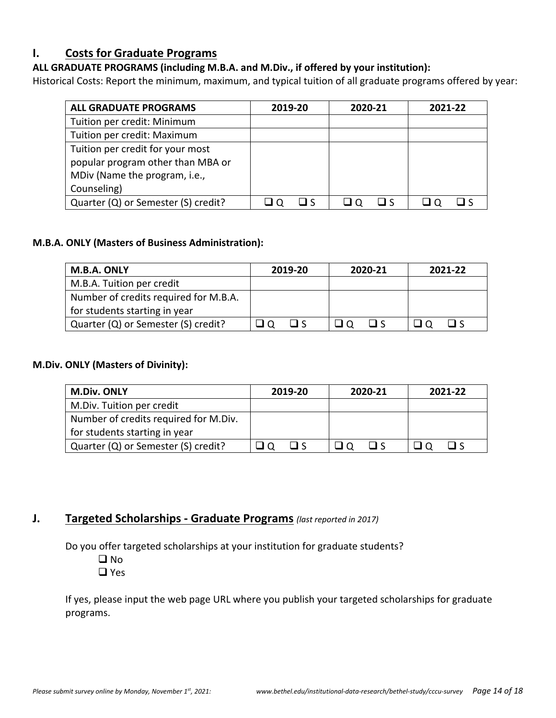# **I. Costs for Graduate Programs**

### **ALL GRADUATE PROGRAMS (including M.B.A. and M.Div., if offered by your institution):**

Historical Costs: Report the minimum, maximum, and typical tuition of all graduate programs offered by year:

| <b>ALL GRADUATE PROGRAMS</b>        | 2019-20 | 2020-21 | 2021-22 |
|-------------------------------------|---------|---------|---------|
| Tuition per credit: Minimum         |         |         |         |
| Tuition per credit: Maximum         |         |         |         |
| Tuition per credit for your most    |         |         |         |
| popular program other than MBA or   |         |         |         |
| MDiv (Name the program, i.e.,       |         |         |         |
| Counseling)                         |         |         |         |
| Quarter (Q) or Semester (S) credit? |         |         |         |

### **M.B.A. ONLY (Masters of Business Administration):**

| M.B.A. ONLY                           | 2019-20                               | 2020-21  | 2021-22     |
|---------------------------------------|---------------------------------------|----------|-------------|
| M.B.A. Tuition per credit             |                                       |          |             |
| Number of credits required for M.B.A. |                                       |          |             |
| for students starting in year         |                                       |          |             |
| Quarter (Q) or Semester (S) credit?   | $\Box$<br>$\overline{\phantom{a}}$ 10 | $\Box$ s | 1 I S<br>്ഥ |

### **M.Div. ONLY (Masters of Divinity):**

| <b>M.Div. ONLY</b>                    | 2019-20 | 2020-21 | 2021-22 |  |  |
|---------------------------------------|---------|---------|---------|--|--|
| M.Div. Tuition per credit             |         |         |         |  |  |
| Number of credits required for M.Div. |         |         |         |  |  |
| for students starting in year         |         |         |         |  |  |
| Quarter (Q) or Semester (S) credit?   | ∟ <     | □ <     | ⊓ <     |  |  |

# **J. Targeted Scholarships ‐ Graduate Programs** *(last reported in 2017)*

Do you offer targeted scholarships at your institution for graduate students?

- **O** No
- Yes

If yes, please input the web page URL where you publish your targeted scholarships for graduate programs.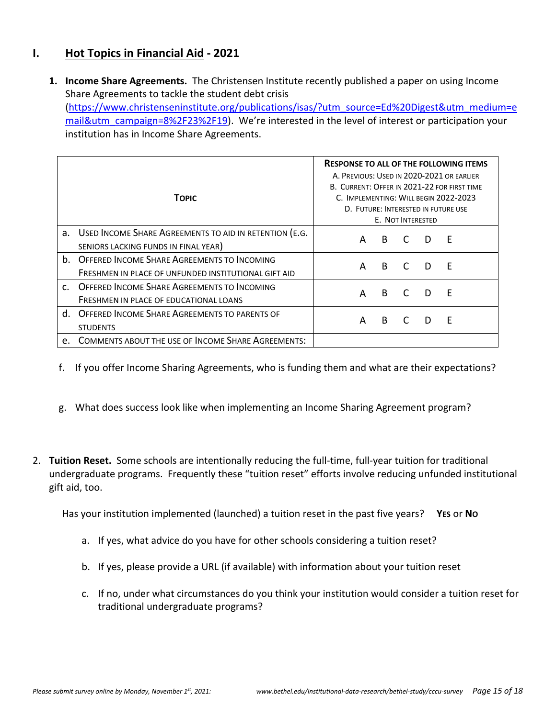# **I. Hot Topics in Financial Aid ‐ 2021**

**1. Income Share Agreements.** The Christensen Institute recently published a paper on using Income Share Agreements to tackle the student debt crisis (https://www.christenseninstitute.org/publications/isas/?utm\_source=Ed%20Digest&utm\_medium=e mail&utm\_campaign=8%2F23%2F19). We're interested in the level of interest or participation your institution has in Income Share Agreements.

|              | <b>TOPIC</b>                                                                                                  | <b>RESPONSE TO ALL OF THE FOLLOWING ITEMS</b><br>A. PREVIOUS: USED IN 2020-2021 OR EARLIER<br>B. CURRENT: OFFER IN 2021-22 FOR FIRST TIME<br>C. IMPLEMENTING: WILL BEGIN 2022-2023<br>D. FUTURE: INTERESTED IN FUTURE USE<br>E. NOT INTERESTED |   |   |     |   |  |
|--------------|---------------------------------------------------------------------------------------------------------------|------------------------------------------------------------------------------------------------------------------------------------------------------------------------------------------------------------------------------------------------|---|---|-----|---|--|
|              | a. USED INCOME SHARE AGREEMENTS TO AID IN RETENTION (E.G.<br>SENIORS LACKING FUNDS IN FINAL YEAR)             | A                                                                                                                                                                                                                                              | B |   | D   | Ε |  |
|              | <b>b. OFFERED INCOME SHARE AGREEMENTS TO INCOMING</b><br>FRESHMEN IN PLACE OF UNFUNDED INSTITUTIONAL GIFT AID | A                                                                                                                                                                                                                                              | B | C | - D | E |  |
| $\mathsf{C}$ | OFFERED INCOME SHARE AGREEMENTS TO INCOMING<br>FRESHMEN IN PLACE OF EDUCATIONAL LOANS                         | A                                                                                                                                                                                                                                              | B | C | D   | F |  |
| d.           | OFFERED INCOME SHARE AGREEMENTS TO PARENTS OF<br><b>STUDENTS</b>                                              | A                                                                                                                                                                                                                                              | B |   | D   | Ε |  |
| $e_{1}$      | <b>COMMENTS ABOUT THE USE OF INCOME SHARE AGREEMENTS:</b>                                                     |                                                                                                                                                                                                                                                |   |   |     |   |  |

- f. If you offer Income Sharing Agreements, who is funding them and what are their expectations?
- g. What does success look like when implementing an Income Sharing Agreement program?
- 2. **Tuition Reset.** Some schools are intentionally reducing the full‐time, full‐year tuition for traditional undergraduate programs. Frequently these "tuition reset" efforts involve reducing unfunded institutional gift aid, too.

Has your institution implemented (launched) a tuition reset in the past five years? **YES** or **NO** 

- a. If yes, what advice do you have for other schools considering a tuition reset?
- b. If yes, please provide a URL (if available) with information about your tuition reset
- c. If no, under what circumstances do you think your institution would consider a tuition reset for traditional undergraduate programs?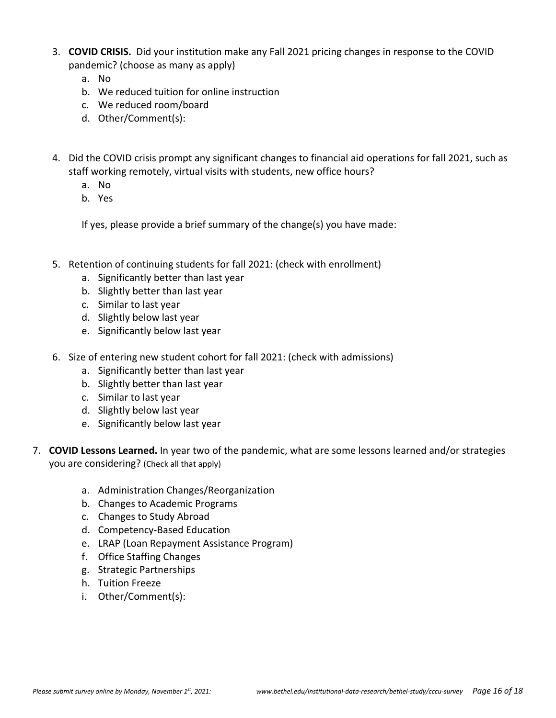- 3. **COVID CRISIS.** Did your institution make any Fall 2021 pricing changes in response to the COVID pandemic? (choose as many as apply)
	- a. No
	- b. We reduced tuition for online instruction
	- c. We reduced room/board
	- d. Other/Comment(s):
- 4. Did the COVID crisis prompt any significant changes to financial aid operations for fall 2021, such as staff working remotely, virtual visits with students, new office hours?
	- a. No
	- b. Yes

If yes, please provide a brief summary of the change(s) you have made:

- 5. Retention of continuing students for fall 2021: (check with enrollment)
	- a. Significantly better than last year
	- b. Slightly better than last year
	- c. Similar to last year
	- d. Slightly below last year
	- e. Significantly below last year
- 6. Size of entering new student cohort for fall 2021: (check with admissions)
	- a. Significantly better than last year
	- b. Slightly better than last year
	- c. Similar to last year
	- d. Slightly below last year
	- e. Significantly below last year
- 7. **COVID Lessons Learned.** In year two of the pandemic, what are some lessons learned and/or strategies you are considering? (Check all that apply)
	- a. Administration Changes/Reorganization
	- b. Changes to Academic Programs
	- c. Changes to Study Abroad
	- d. Competency‐Based Education
	- e. LRAP (Loan Repayment Assistance Program)
	- f. Office Staffing Changes
	- g. Strategic Partnerships
	- h. Tuition Freeze
	- i. Other/Comment(s):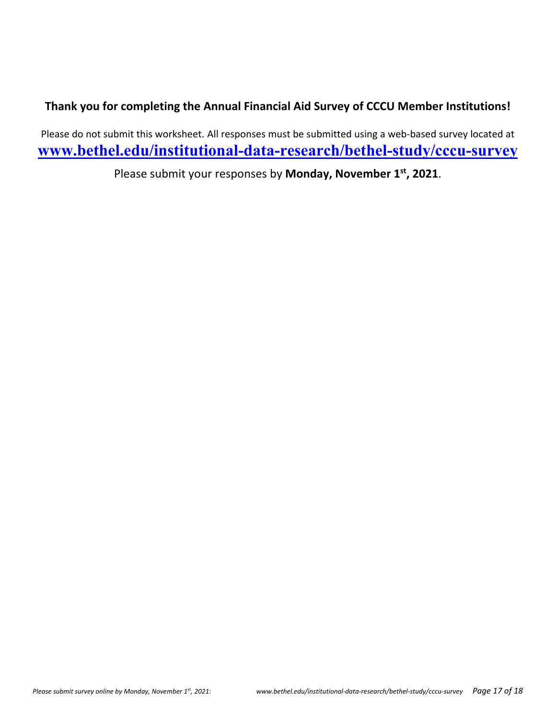# **Thank you for completing the Annual Financial Aid Survey of CCCU Member Institutions!**

Please do not submit this worksheet. All responses must be submitted using a web‐based survey located at **www.bethel.edu/institutional-data-research/bethel-study/cccu-survey**

Please submit your responses by **Monday, November 1st, 2021**.